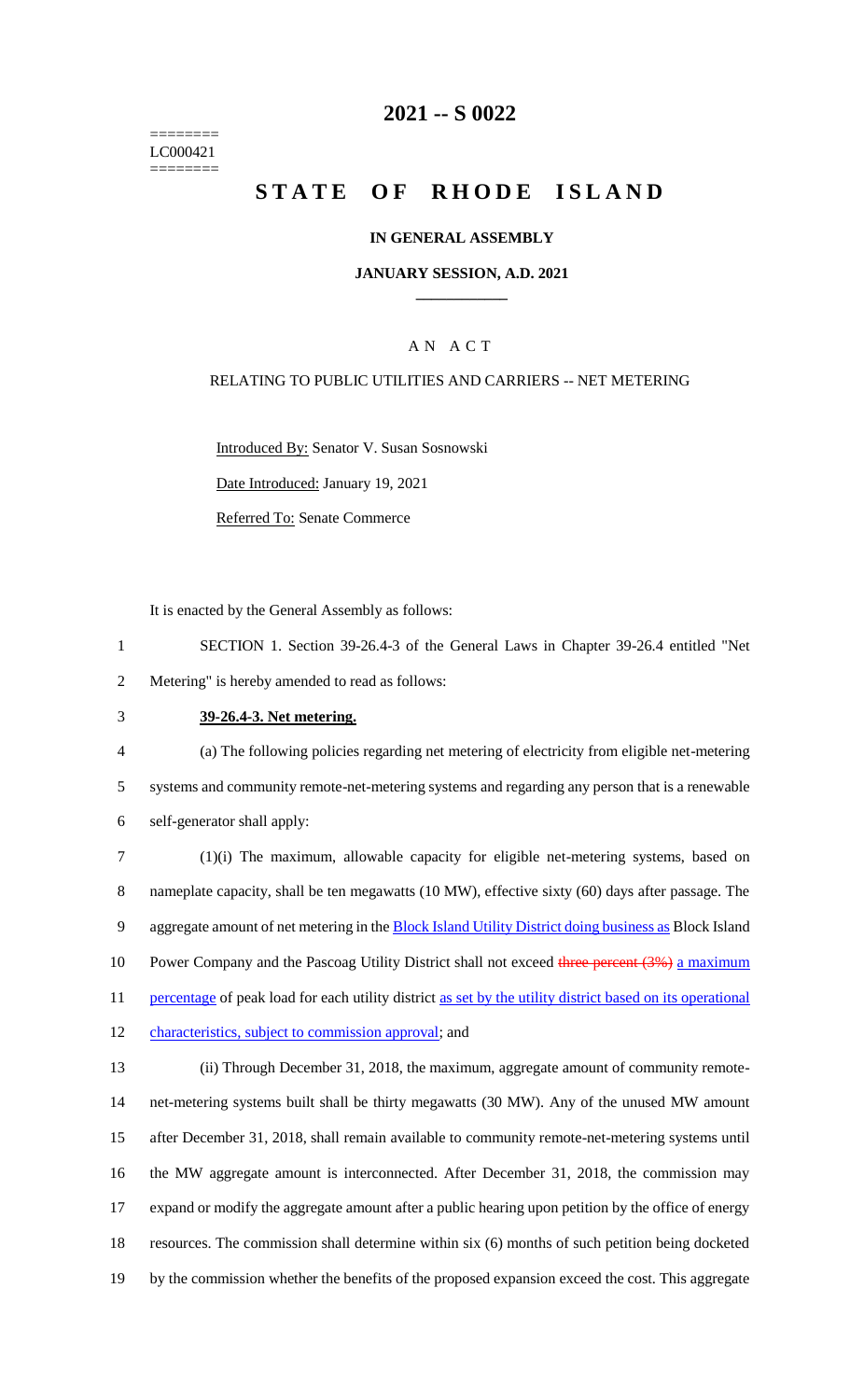======== LC000421 ========

# **2021 -- S 0022**

# **STATE OF RHODE ISLAND**

#### **IN GENERAL ASSEMBLY**

#### **JANUARY SESSION, A.D. 2021 \_\_\_\_\_\_\_\_\_\_\_\_**

### A N A C T

# RELATING TO PUBLIC UTILITIES AND CARRIERS -- NET METERING

Introduced By: Senator V. Susan Sosnowski

Date Introduced: January 19, 2021

Referred To: Senate Commerce

It is enacted by the General Assembly as follows:

- 1 SECTION 1. Section 39-26.4-3 of the General Laws in Chapter 39-26.4 entitled "Net 2 Metering" is hereby amended to read as follows:
- 

#### 3 **39-26.4-3. Net metering.**

4 (a) The following policies regarding net metering of electricity from eligible net-metering 5 systems and community remote-net-metering systems and regarding any person that is a renewable 6 self-generator shall apply:

7 (1)(i) The maximum, allowable capacity for eligible net-metering systems, based on 8 nameplate capacity, shall be ten megawatts (10 MW), effective sixty (60) days after passage. The 9 aggregate amount of net metering in the **Block Island Utility District doing business as** Block Island 10 Power Company and the Pascoag Utility District shall not exceed three percent (3%) a maximum 11 percentage of peak load for each utility district as set by the utility district based on its operational 12 characteristics, subject to commission approval; and

 (ii) Through December 31, 2018, the maximum, aggregate amount of community remote- net-metering systems built shall be thirty megawatts (30 MW). Any of the unused MW amount after December 31, 2018, shall remain available to community remote-net-metering systems until the MW aggregate amount is interconnected. After December 31, 2018, the commission may expand or modify the aggregate amount after a public hearing upon petition by the office of energy resources. The commission shall determine within six (6) months of such petition being docketed by the commission whether the benefits of the proposed expansion exceed the cost. This aggregate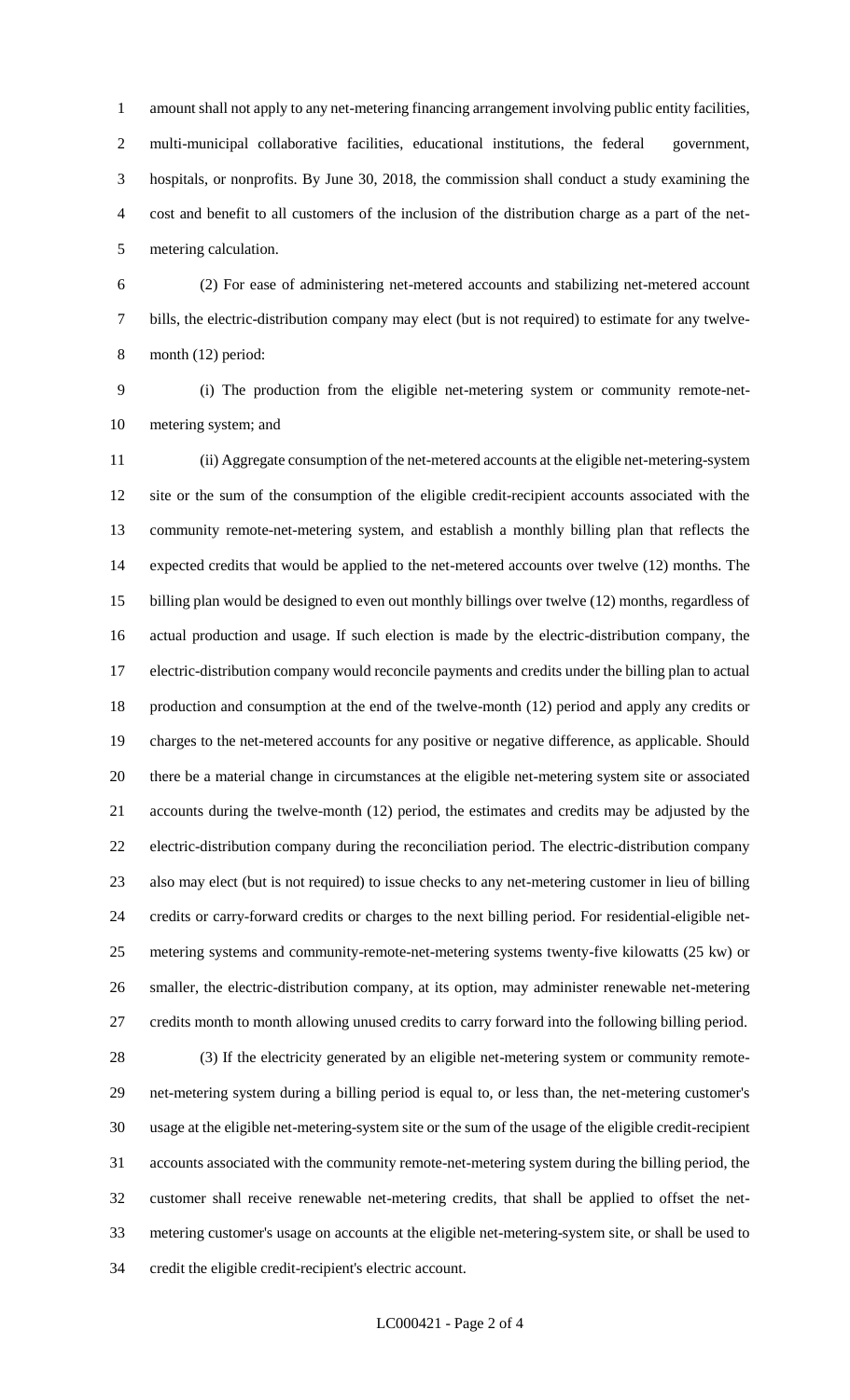amount shall not apply to any net-metering financing arrangement involving public entity facilities, multi-municipal collaborative facilities, educational institutions, the federal government, hospitals, or nonprofits. By June 30, 2018, the commission shall conduct a study examining the cost and benefit to all customers of the inclusion of the distribution charge as a part of the net-metering calculation.

 (2) For ease of administering net-metered accounts and stabilizing net-metered account bills, the electric-distribution company may elect (but is not required) to estimate for any twelve-month (12) period:

 (i) The production from the eligible net-metering system or community remote-net-metering system; and

 (ii) Aggregate consumption of the net-metered accounts at the eligible net-metering-system site or the sum of the consumption of the eligible credit-recipient accounts associated with the community remote-net-metering system, and establish a monthly billing plan that reflects the expected credits that would be applied to the net-metered accounts over twelve (12) months. The billing plan would be designed to even out monthly billings over twelve (12) months, regardless of actual production and usage. If such election is made by the electric-distribution company, the electric-distribution company would reconcile payments and credits under the billing plan to actual production and consumption at the end of the twelve-month (12) period and apply any credits or charges to the net-metered accounts for any positive or negative difference, as applicable. Should there be a material change in circumstances at the eligible net-metering system site or associated accounts during the twelve-month (12) period, the estimates and credits may be adjusted by the electric-distribution company during the reconciliation period. The electric-distribution company also may elect (but is not required) to issue checks to any net-metering customer in lieu of billing credits or carry-forward credits or charges to the next billing period. For residential-eligible net- metering systems and community-remote-net-metering systems twenty-five kilowatts (25 kw) or smaller, the electric-distribution company, at its option, may administer renewable net-metering credits month to month allowing unused credits to carry forward into the following billing period.

 (3) If the electricity generated by an eligible net-metering system or community remote- net-metering system during a billing period is equal to, or less than, the net-metering customer's usage at the eligible net-metering-system site or the sum of the usage of the eligible credit-recipient accounts associated with the community remote-net-metering system during the billing period, the customer shall receive renewable net-metering credits, that shall be applied to offset the net- metering customer's usage on accounts at the eligible net-metering-system site, or shall be used to credit the eligible credit-recipient's electric account.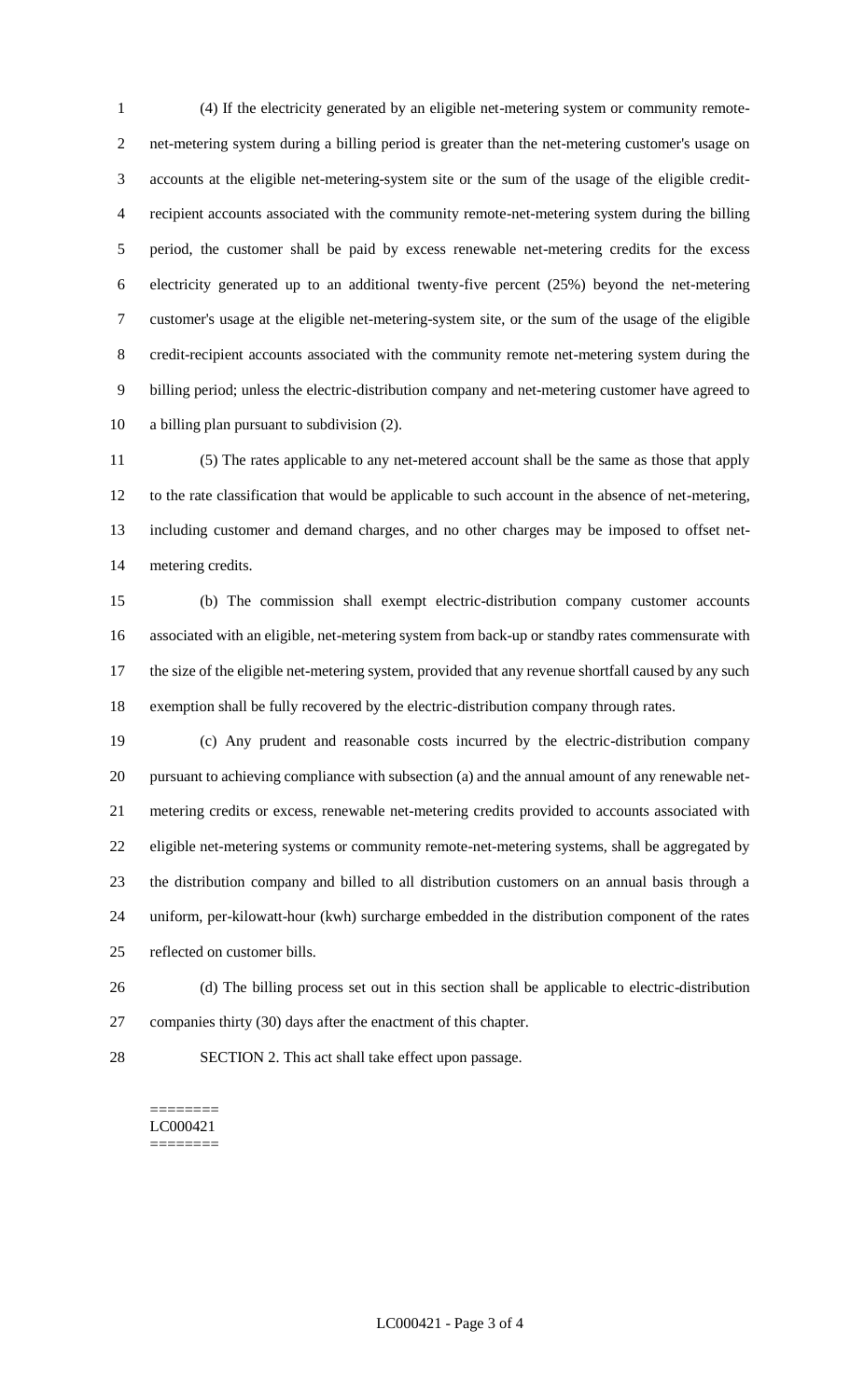(4) If the electricity generated by an eligible net-metering system or community remote- net-metering system during a billing period is greater than the net-metering customer's usage on accounts at the eligible net-metering-system site or the sum of the usage of the eligible credit- recipient accounts associated with the community remote-net-metering system during the billing period, the customer shall be paid by excess renewable net-metering credits for the excess electricity generated up to an additional twenty-five percent (25%) beyond the net-metering customer's usage at the eligible net-metering-system site, or the sum of the usage of the eligible credit-recipient accounts associated with the community remote net-metering system during the billing period; unless the electric-distribution company and net-metering customer have agreed to a billing plan pursuant to subdivision (2).

 (5) The rates applicable to any net-metered account shall be the same as those that apply to the rate classification that would be applicable to such account in the absence of net-metering, including customer and demand charges, and no other charges may be imposed to offset net-metering credits.

 (b) The commission shall exempt electric-distribution company customer accounts associated with an eligible, net-metering system from back-up or standby rates commensurate with the size of the eligible net-metering system, provided that any revenue shortfall caused by any such exemption shall be fully recovered by the electric-distribution company through rates.

 (c) Any prudent and reasonable costs incurred by the electric-distribution company pursuant to achieving compliance with subsection (a) and the annual amount of any renewable net- metering credits or excess, renewable net-metering credits provided to accounts associated with eligible net-metering systems or community remote-net-metering systems, shall be aggregated by the distribution company and billed to all distribution customers on an annual basis through a uniform, per-kilowatt-hour (kwh) surcharge embedded in the distribution component of the rates reflected on customer bills.

 (d) The billing process set out in this section shall be applicable to electric-distribution companies thirty (30) days after the enactment of this chapter.

SECTION 2. This act shall take effect upon passage.

======== LC000421 ========